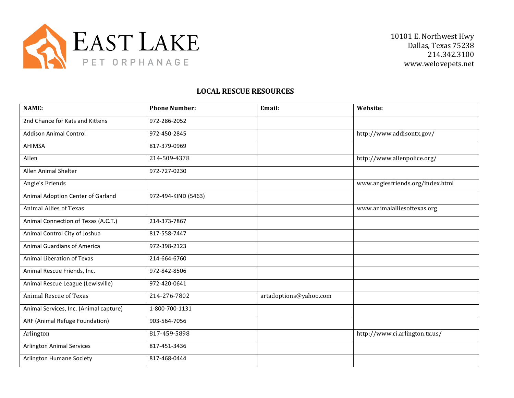

## **LOCAL RESCUE RESOURCES**

| <b>NAME:</b>                           | <b>Phone Number:</b> | Email:                 | Website:                         |
|----------------------------------------|----------------------|------------------------|----------------------------------|
| 2nd Chance for Kats and Kittens        | 972-286-2052         |                        |                                  |
| <b>Addison Animal Control</b>          | 972-450-2845         |                        | http://www.addisontx.gov/        |
| AHIMSA                                 | 817-379-0969         |                        |                                  |
| Allen                                  | 214-509-4378         |                        | http://www.allenpolice.org/      |
| <b>Allen Animal Shelter</b>            | 972-727-0230         |                        |                                  |
| Angie's Friends                        |                      |                        | www.angiesfriends.org/index.html |
| Animal Adoption Center of Garland      | 972-494-KIND (5463)  |                        |                                  |
| <b>Animal Allies of Texas</b>          |                      |                        | www.animalalliesoftexas.org      |
| Animal Connection of Texas (A.C.T.)    | 214-373-7867         |                        |                                  |
| Animal Control City of Joshua          | 817-558-7447         |                        |                                  |
| <b>Animal Guardians of America</b>     | 972-398-2123         |                        |                                  |
| Animal Liberation of Texas             | 214-664-6760         |                        |                                  |
| Animal Rescue Friends, Inc.            | 972-842-8506         |                        |                                  |
| Animal Rescue League (Lewisville)      | 972-420-0641         |                        |                                  |
| Animal Rescue of Texas                 | 214-276-7802         | artadoptions@yahoo.com |                                  |
| Animal Services, Inc. (Animal capture) | 1-800-700-1131       |                        |                                  |
| ARF (Animal Refuge Foundation)         | 903-564-7056         |                        |                                  |
| Arlington                              | 817-459-5898         |                        | http://www.ci.arlington.tx.us/   |
| <b>Arlington Animal Services</b>       | 817-451-3436         |                        |                                  |
| <b>Arlington Humane Society</b>        | 817-468-0444         |                        |                                  |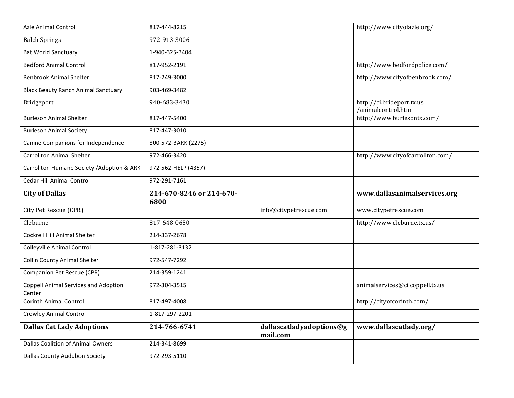| <b>Azle Animal Control</b>                            | 817-444-8215                     |                                      | http://www.cityofazle.org/                      |
|-------------------------------------------------------|----------------------------------|--------------------------------------|-------------------------------------------------|
| <b>Balch Springs</b>                                  | 972-913-3006                     |                                      |                                                 |
| <b>Bat World Sanctuary</b>                            | 1-940-325-3404                   |                                      |                                                 |
| <b>Bedford Animal Control</b>                         | 817-952-2191                     |                                      | http://www.bedfordpolice.com/                   |
| <b>Benbrook Animal Shelter</b>                        | 817-249-3000                     |                                      | http://www.cityofbenbrook.com/                  |
| <b>Black Beauty Ranch Animal Sanctuary</b>            | 903-469-3482                     |                                      |                                                 |
| Bridgeport                                            | 940-683-3430                     |                                      | http://ci.brideport.tx.us<br>/animalcontrol.htm |
| <b>Burleson Animal Shelter</b>                        | 817-447-5400                     |                                      | http://www.burlesontx.com/                      |
| <b>Burleson Animal Society</b>                        | 817-447-3010                     |                                      |                                                 |
| Canine Companions for Independence                    | 800-572-BARK (2275)              |                                      |                                                 |
| <b>Carrollton Animal Shelter</b>                      | 972-466-3420                     |                                      | http://www.cityofcarrollton.com/                |
| Carrollton Humane Society / Adoption & ARK            | 972-562-HELP (4357)              |                                      |                                                 |
| <b>Cedar Hill Animal Control</b>                      | 972-291-7161                     |                                      |                                                 |
|                                                       |                                  |                                      |                                                 |
| <b>City of Dallas</b>                                 | 214-670-8246 or 214-670-<br>6800 |                                      | www.dallasanimalservices.org                    |
| City Pet Rescue (CPR)                                 |                                  | info@citypetrescue.com               | www.citypetrescue.com                           |
| Cleburne                                              | 817-648-0650                     |                                      | http://www.cleburne.tx.us/                      |
| <b>Cockrell Hill Animal Shelter</b>                   | 214-337-2678                     |                                      |                                                 |
| <b>Colleyville Animal Control</b>                     | 1-817-281-3132                   |                                      |                                                 |
| <b>Collin County Animal Shelter</b>                   | 972-547-7292                     |                                      |                                                 |
| Companion Pet Rescue (CPR)                            | 214-359-1241                     |                                      |                                                 |
| <b>Coppell Animal Services and Adoption</b><br>Center | 972-304-3515                     |                                      | animalservices@ci.coppell.tx.us                 |
| <b>Corinth Animal Control</b>                         | 817-497-4008                     |                                      | http://cityofcorinth.com/                       |
| <b>Crowley Animal Control</b>                         | 1-817-297-2201                   |                                      |                                                 |
| <b>Dallas Cat Lady Adoptions</b>                      | 214-766-6741                     | dallascatladyadoptions@g<br>mail.com | www.dallascatlady.org/                          |
| <b>Dallas Coalition of Animal Owners</b>              | 214-341-8699                     |                                      |                                                 |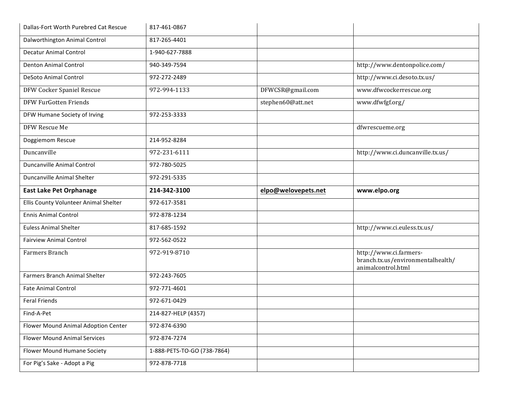| Dallas-Fort Worth Purebred Cat Rescue | 817-461-0867                |                     |                                                                                   |
|---------------------------------------|-----------------------------|---------------------|-----------------------------------------------------------------------------------|
| Dalworthington Animal Control         | 817-265-4401                |                     |                                                                                   |
| <b>Decatur Animal Control</b>         | 1-940-627-7888              |                     |                                                                                   |
| <b>Denton Animal Control</b>          | 940-349-7594                |                     | http://www.dentonpolice.com/                                                      |
| DeSoto Animal Control                 | 972-272-2489                |                     | http://www.ci.desoto.tx.us/                                                       |
| DFW Cocker Spaniel Rescue             | 972-994-1133                | DFWCSR@gmail.com    | www.dfwcockerrescue.org                                                           |
| <b>DFW FurGotten Friends</b>          |                             | stephen60@att.net   | www.dfwfgf.org/                                                                   |
| DFW Humane Society of Irving          | 972-253-3333                |                     |                                                                                   |
| DFW Rescue Me                         |                             |                     | dfwrescueme.org                                                                   |
| Doggiemom Rescue                      | 214-952-8284                |                     |                                                                                   |
| Duncanville                           | 972-231-6111                |                     | http://www.ci.duncanville.tx.us/                                                  |
| <b>Duncanville Animal Control</b>     | 972-780-5025                |                     |                                                                                   |
| Duncanville Animal Shelter            | 972-291-5335                |                     |                                                                                   |
| <b>East Lake Pet Orphanage</b>        | 214-342-3100                | elpo@welovepets.net | www.elpo.org                                                                      |
|                                       |                             |                     |                                                                                   |
| Ellis County Volunteer Animal Shelter | 972-617-3581                |                     |                                                                                   |
| <b>Ennis Animal Control</b>           | 972-878-1234                |                     |                                                                                   |
| <b>Euless Animal Shelter</b>          | 817-685-1592                |                     | http://www.ci.euless.tx.us/                                                       |
| <b>Fairview Animal Control</b>        | 972-562-0522                |                     |                                                                                   |
| Farmers Branch                        | 972-919-8710                |                     | http://www.ci.farmers-<br>branch.tx.us/environmentalhealth/<br>animalcontrol.html |
| <b>Farmers Branch Animal Shelter</b>  | 972-243-7605                |                     |                                                                                   |
| <b>Fate Animal Control</b>            | 972-771-4601                |                     |                                                                                   |
| <b>Feral Friends</b>                  | 972-671-0429                |                     |                                                                                   |
| Find-A-Pet                            | 214-827-HELP (4357)         |                     |                                                                                   |
| Flower Mound Animal Adoption Center   | 972-874-6390                |                     |                                                                                   |
| <b>Flower Mound Animal Services</b>   | 972-874-7274                |                     |                                                                                   |
| Flower Mound Humane Society           | 1-888-PETS-TO-GO (738-7864) |                     |                                                                                   |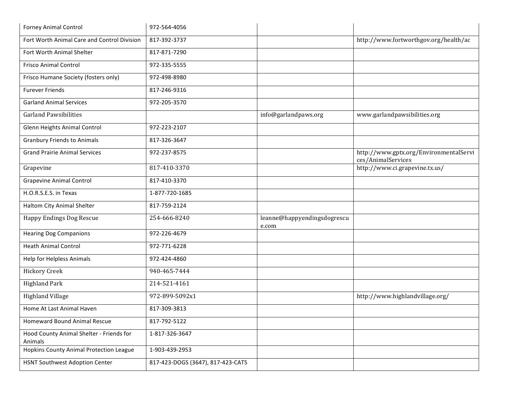| <b>Forney Animal Control</b>                        | 972-564-4056                      |                                      |                                                              |
|-----------------------------------------------------|-----------------------------------|--------------------------------------|--------------------------------------------------------------|
| Fort Worth Animal Care and Control Division         | 817-392-3737                      |                                      | http://www.fortworthgov.org/health/ac                        |
| Fort Worth Animal Shelter                           | 817-871-7290                      |                                      |                                                              |
| <b>Frisco Animal Control</b>                        | 972-335-5555                      |                                      |                                                              |
| Frisco Humane Society (fosters only)                | 972-498-8980                      |                                      |                                                              |
| <b>Furever Friends</b>                              | 817-246-9316                      |                                      |                                                              |
| <b>Garland Animal Services</b>                      | 972-205-3570                      |                                      |                                                              |
| <b>Garland Pawsibilities</b>                        |                                   | info@garlandpaws.org                 | www.garlandpawsibilities.org                                 |
| Glenn Heights Animal Control                        | 972-223-2107                      |                                      |                                                              |
| <b>Granbury Friends to Animals</b>                  | 817-326-3647                      |                                      |                                                              |
| <b>Grand Prairie Animal Services</b>                | 972-237-8575                      |                                      | http://www.gptx.org/EnvironmentalServi<br>ces/AnimalServices |
| Grapevine                                           | 817-410-3370                      |                                      | http://www.ci.grapevine.tx.us/                               |
| <b>Grapevine Animal Control</b>                     | 817-410-3370                      |                                      |                                                              |
| H.O.R.S.E.S. in Texas                               | 1-877-720-1685                    |                                      |                                                              |
| Haltom City Animal Shelter                          | 817-759-2124                      |                                      |                                                              |
| Happy Endings Dog Rescue                            | 254-666-8240                      | leanne@happyendingsdogrescu<br>e.com |                                                              |
| <b>Hearing Dog Companions</b>                       | 972-226-4679                      |                                      |                                                              |
| <b>Heath Animal Control</b>                         | 972-771-6228                      |                                      |                                                              |
| Help for Helpless Animals                           | 972-424-4860                      |                                      |                                                              |
| <b>Hickory Creek</b>                                | 940-465-7444                      |                                      |                                                              |
| <b>Highland Park</b>                                | 214-521-4161                      |                                      |                                                              |
| <b>Highland Village</b>                             | 972-899-5092x1                    |                                      | http://www.highlandvillage.org/                              |
| Home At Last Animal Haven                           | 817-309-3813                      |                                      |                                                              |
| Homeward Bound Animal Rescue                        | 817-792-5122                      |                                      |                                                              |
| Hood County Animal Shelter - Friends for<br>Animals | 1-817-326-3647                    |                                      |                                                              |
| Hopkins County Animal Protection League             | 1-903-439-2953                    |                                      |                                                              |
| HSNT Southwest Adoption Center                      | 817-423-DOGS (3647), 817-423-CATS |                                      |                                                              |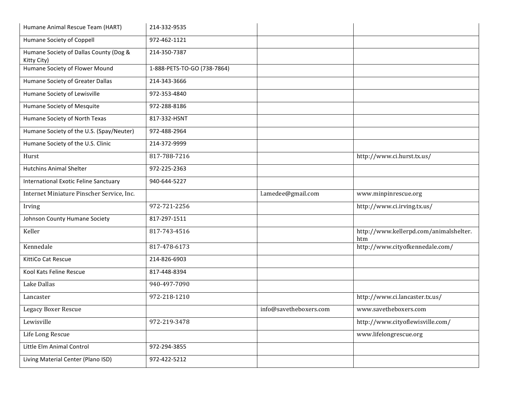| Humane Animal Rescue Team (HART)                      | 214-332-9535                |                        |                                               |
|-------------------------------------------------------|-----------------------------|------------------------|-----------------------------------------------|
| Humane Society of Coppell                             | 972-462-1121                |                        |                                               |
| Humane Society of Dallas County (Dog &<br>Kitty City) | 214-350-7387                |                        |                                               |
| Humane Society of Flower Mound                        | 1-888-PETS-TO-GO (738-7864) |                        |                                               |
| Humane Society of Greater Dallas                      | 214-343-3666                |                        |                                               |
| Humane Society of Lewisville                          | 972-353-4840                |                        |                                               |
| Humane Society of Mesquite                            | 972-288-8186                |                        |                                               |
| Humane Society of North Texas                         | 817-332-HSNT                |                        |                                               |
| Humane Society of the U.S. (Spay/Neuter)              | 972-488-2964                |                        |                                               |
| Humane Society of the U.S. Clinic                     | 214-372-9999                |                        |                                               |
| Hurst                                                 | 817-788-7216                |                        | http://www.ci.hurst.tx.us/                    |
| <b>Hutchins Animal Shelter</b>                        | 972-225-2363                |                        |                                               |
| International Exotic Feline Sanctuary                 | 940-644-5227                |                        |                                               |
| Internet Miniature Pinscher Service, Inc.             |                             | l.amedee@gmail.com     | www.minpinrescue.org                          |
| Irving                                                | 972-721-2256                |                        | http://www.ci.irving.tx.us/                   |
| Johnson County Humane Society                         | 817-297-1511                |                        |                                               |
| Keller                                                | 817-743-4516                |                        | http://www.kellerpd.com/animalshelter.<br>htm |
| Kennedale                                             | 817-478-6173                |                        | http://www.cityofkennedale.com/               |
| KittiCo Cat Rescue                                    | 214-826-6903                |                        |                                               |
| Kool Kats Feline Rescue                               | 817-448-8394                |                        |                                               |
| Lake Dallas                                           | 940-497-7090                |                        |                                               |
| Lancaster                                             | 972-218-1210                |                        | http://www.ci.lancaster.tx.us/                |
| Legacy Boxer Rescue                                   |                             | info@savetheboxers.com | www.savetheboxers.com                         |
| Lewisville                                            | 972-219-3478                |                        | http://www.cityoflewisville.com/              |
| Life Long Rescue                                      |                             |                        | www.lifelongrescue.org                        |
| Little Elm Animal Control                             | 972-294-3855                |                        |                                               |
| Living Material Center (Plano ISD)                    | 972-422-5212                |                        |                                               |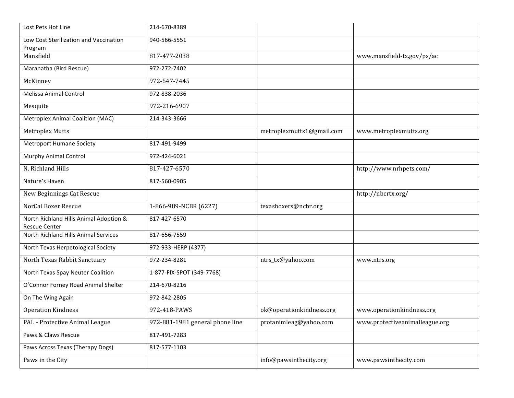| Lost Pets Hot Line                                             | 214-670-8389                    |                           |                                |
|----------------------------------------------------------------|---------------------------------|---------------------------|--------------------------------|
| Low Cost Sterilization and Vaccination<br>Program              | 940-566-5551                    |                           |                                |
| Mansfield                                                      | 817-477-2038                    |                           | www.mansfield-tx.gov/ps/ac     |
| Maranatha (Bird Rescue)                                        | 972-272-7402                    |                           |                                |
| McKinney                                                       | 972-547-7445                    |                           |                                |
| <b>Melissa Animal Control</b>                                  | 972-838-2036                    |                           |                                |
| Mesquite                                                       | 972-216-6907                    |                           |                                |
| Metroplex Animal Coalition (MAC)                               | 214-343-3666                    |                           |                                |
| <b>Metroplex Mutts</b>                                         |                                 | metroplexmutts1@gmail.com | www.metroplexmutts.org         |
| <b>Metroport Humane Society</b>                                | 817-491-9499                    |                           |                                |
| <b>Murphy Animal Control</b>                                   | 972-424-6021                    |                           |                                |
| N. Richland Hills                                              | 817-427-6570                    |                           | http://www.nrhpets.com/        |
| Nature's Haven                                                 | 817-560-0905                    |                           |                                |
| New Beginnings Cat Rescue                                      |                                 |                           | http://nbcrtx.org/             |
| NorCal Boxer Rescue                                            | 1-866-989-NCBR (6227)           | texasboxers@ncbr.org      |                                |
| North Richland Hills Animal Adoption &<br><b>Rescue Center</b> | 817-427-6570                    |                           |                                |
| North Richland Hills Animal Services                           | 817-656-7559                    |                           |                                |
| North Texas Herpetological Society                             | 972-933-HERP (4377)             |                           |                                |
| North Texas Rabbit Sanctuary                                   | 972-234-8281                    | ntrs_tx@yahoo.com         | www.ntrs.org                   |
| North Texas Spay Neuter Coalition                              | 1-877-FIX-SPOT (349-7768)       |                           |                                |
| O'Connor Forney Road Animal Shelter                            | 214-670-8216                    |                           |                                |
| On The Wing Again                                              | 972-842-2805                    |                           |                                |
| <b>Operation Kindness</b>                                      | 972-418-PAWS                    | ok@operationkindness.org  | www.operationkindness.org      |
| PAL - Protective Animal League                                 | 972-881-1981 general phone line | protanimleag@yahoo.com    | www.protectiveanimalleague.org |
| Paws & Claws Rescue                                            | 817-491-7283                    |                           |                                |
| Paws Across Texas (Therapy Dogs)                               | 817-577-1103                    |                           |                                |
| Paws in the City                                               |                                 | info@pawsinthecity.org    | www.pawsinthecity.com          |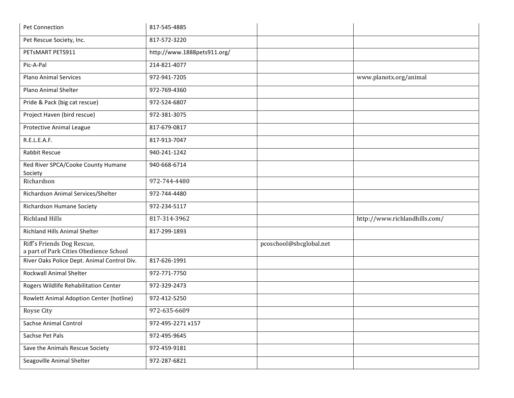| Pet Connection                                                       | 817-545-4885                |                         |                               |
|----------------------------------------------------------------------|-----------------------------|-------------------------|-------------------------------|
| Pet Rescue Society, Inc.                                             | 817-572-3220                |                         |                               |
| PETSMART PETS911                                                     | http://www.1888pets911.org/ |                         |                               |
| Pic-A-Pal                                                            | 214-821-4077                |                         |                               |
| <b>Plano Animal Services</b>                                         | 972-941-7205                |                         | www.planotx.org/animal        |
| Plano Animal Shelter                                                 | 972-769-4360                |                         |                               |
| Pride & Pack (big cat rescue)                                        | 972-524-6807                |                         |                               |
| Project Haven (bird rescue)                                          | 972-381-3075                |                         |                               |
| Protective Animal League                                             | 817-679-0817                |                         |                               |
| R.E.L.E.A.F.                                                         | 817-913-7047                |                         |                               |
| Rabbit Rescue                                                        | 940-241-1242                |                         |                               |
| Red River SPCA/Cooke County Humane<br>Society                        | 940-668-6714                |                         |                               |
| Richardson                                                           | 972-744-4480                |                         |                               |
| Richardson Animal Services/Shelter                                   | 972-744-4480                |                         |                               |
| Richardson Humane Society                                            | 972-234-5117                |                         |                               |
| <b>Richland Hills</b>                                                | 817-314-3962                |                         | http://www.richlandhills.com/ |
| <b>Richland Hills Animal Shelter</b>                                 | 817-299-1893                |                         |                               |
| Riff's Friends Dog Rescue,<br>a part of Park Cities Obedience School |                             | pcoschool@sbcglobal.net |                               |
| River Oaks Police Dept. Animal Control Div.                          | 817-626-1991                |                         |                               |
| Rockwall Animal Shelter                                              | 972-771-7750                |                         |                               |
| Rogers Wildlife Rehabilitation Center                                | 972-329-2473                |                         |                               |
| Rowlett Animal Adoption Center (hotline)                             | 972-412-5250                |                         |                               |
| Royse City                                                           | 972-635-6609                |                         |                               |
| <b>Sachse Animal Control</b>                                         | 972-495-2271 x157           |                         |                               |
| Sachse Pet Pals                                                      | 972-495-9645                |                         |                               |
| Save the Animals Rescue Society                                      | 972-459-9181                |                         |                               |
| Seagoville Animal Shelter                                            | 972-287-6821                |                         |                               |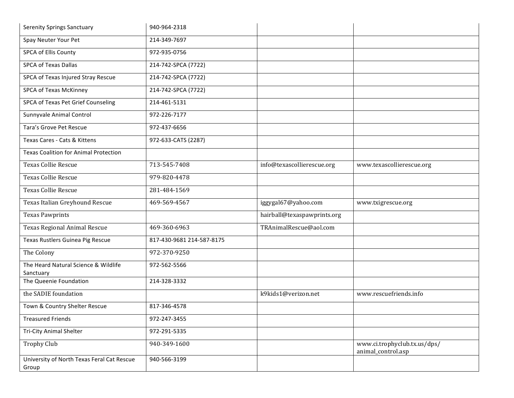| <b>Serenity Springs Sanctuary</b>                   | 940-964-2318              |                             |                                                    |
|-----------------------------------------------------|---------------------------|-----------------------------|----------------------------------------------------|
| Spay Neuter Your Pet                                | 214-349-7697              |                             |                                                    |
| SPCA of Ellis County                                | 972-935-0756              |                             |                                                    |
| <b>SPCA of Texas Dallas</b>                         | 214-742-SPCA (7722)       |                             |                                                    |
| SPCA of Texas Injured Stray Rescue                  | 214-742-SPCA (7722)       |                             |                                                    |
| SPCA of Texas McKinney                              | 214-742-SPCA (7722)       |                             |                                                    |
| SPCA of Texas Pet Grief Counseling                  | 214-461-5131              |                             |                                                    |
| Sunnyvale Animal Control                            | 972-226-7177              |                             |                                                    |
| Tara's Grove Pet Rescue                             | 972-437-6656              |                             |                                                    |
| Texas Cares - Cats & Kittens                        | 972-633-CATS (2287)       |                             |                                                    |
| <b>Texas Coalition for Animal Protection</b>        |                           |                             |                                                    |
| <b>Texas Collie Rescue</b>                          | 713-545-7408              | info@texascollierescue.org  | www.texascollierescue.org                          |
| <b>Texas Collie Rescue</b>                          | 979-820-4478              |                             |                                                    |
| <b>Texas Collie Rescue</b>                          | 281-484-1569              |                             |                                                    |
| Texas Italian Greyhound Rescue                      | 469-569-4567              | iggygal67@yahoo.com         | www.txigrescue.org                                 |
| <b>Texas Pawprints</b>                              |                           | hairball@texaspawprints.org |                                                    |
| <b>Texas Regional Animal Rescue</b>                 | 469-360-6963              | TRAnimalRescue@aol.com      |                                                    |
| Texas Rustlers Guinea Pig Rescue                    | 817-430-9681 214-587-8175 |                             |                                                    |
| The Colony                                          | 972-370-9250              |                             |                                                    |
| The Heard Natural Science & Wildlife<br>Sanctuary   | 972-562-5566              |                             |                                                    |
| The Queenie Foundation                              | 214-328-3332              |                             |                                                    |
| the SADIE foundation                                |                           | k9kids1@verizon.net         | www.rescuefriends.info                             |
| Town & Country Shelter Rescue                       | 817-346-4578              |                             |                                                    |
| <b>Treasured Friends</b>                            | 972-247-3455              |                             |                                                    |
| <b>Tri-City Animal Shelter</b>                      | 972-291-5335              |                             |                                                    |
| <b>Trophy Club</b>                                  | 940-349-1600              |                             | www.ci.trophyclub.tx.us/dps/<br>animal_control.asp |
| University of North Texas Feral Cat Rescue<br>Group | 940-566-3199              |                             |                                                    |